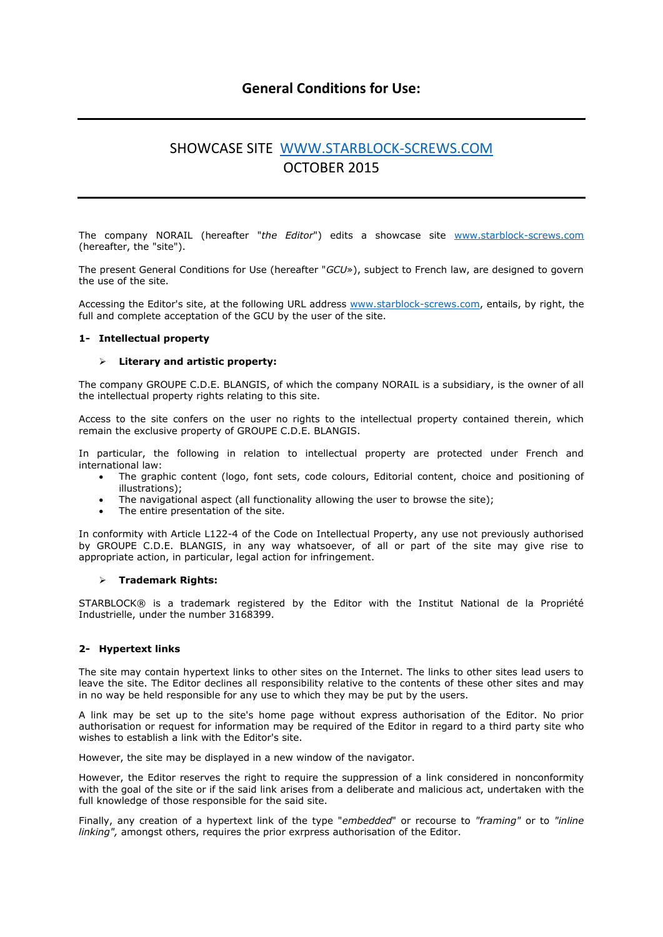# **General Conditions for Use:**

# SHOWCASE SITE [WWW.STARBLOCK-SCREWS.COM](http://www.starblock-screws.com/) OCTOBER 2015

The company NORAIL (hereafter "*the Editor*") edits a showcase site [www.starblock-screws.com](http://www.starblock-screws.com/) (hereafter, the "site").

The present General Conditions for Use (hereafter "*GCU*»), subject to French law, are designed to govern the use of the site.

Accessing the Editor's site, at the following URL address [www.starblock-screws.com,](http://www.guitel.fr/) entails, by right, the full and complete acceptation of the GCU by the user of the site.

#### **1- Intellectual property**

#### **Literary and artistic property:**

The company GROUPE C.D.E. BLANGIS, of which the company NORAIL is a subsidiary, is the owner of all the intellectual property rights relating to this site.

Access to the site confers on the user no rights to the intellectual property contained therein, which remain the exclusive property of GROUPE C.D.E. BLANGIS.

In particular, the following in relation to intellectual property are protected under French and international law:

- The graphic content (logo, font sets, code colours, Editorial content, choice and positioning of illustrations);
- The navigational aspect (all functionality allowing the user to browse the site);
- The entire presentation of the site.

In conformity with Article L122-4 of the Code on Intellectual Property, any use not previously authorised by GROUPE C.D.E. BLANGIS, in any way whatsoever, of all or part of the site may give rise to appropriate action, in particular, legal action for infringement.

#### **Trademark Rights:**

STARBLOCK® is a trademark registered by the Editor with the Institut National de la Propriété Industrielle, under the number 3168399.

# **2- Hypertext links**

The site may contain hypertext links to other sites on the Internet. The links to other sites lead users to leave the site. The Editor declines all responsibility relative to the contents of these other sites and may in no way be held responsible for any use to which they may be put by the users.

A link may be set up to the site's home page without express authorisation of the Editor. No prior authorisation or request for information may be required of the Editor in regard to a third party site who wishes to establish a link with the Editor's site.

However, the site may be displayed in a new window of the navigator.

However, the Editor reserves the right to require the suppression of a link considered in nonconformity with the goal of the site or if the said link arises from a deliberate and malicious act, undertaken with the full knowledge of those responsible for the said site.

Finally, any creation of a hypertext link of the type "*embedded*" or recourse to *"framing"* or to *"inline linking",* amongst others, requires the prior exrpress authorisation of the Editor.